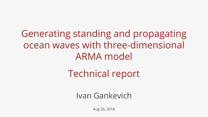Generating standing and propagating ocean waves with three-dimensional ARMA model

## Technical report

#### Ivan Gankevich

Aug 26, 2016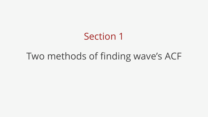# Section 1

Two methods of finding wave's ACF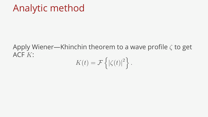#### Apply Wiener—Khinchin theorem to a wave profile *ζ* to get ACF *K*:

$$
K(t) = \mathcal{F}\left\{ |\zeta(t)|^2 \right\}.
$$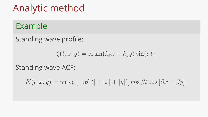#### Example

Standing wave profile:

$$
\zeta(t, x, y) = A \sin(k_x x + k_y y) \sin(\sigma t).
$$

#### Standing wave ACF:

 $K(t, x, y) = \gamma \exp[-\alpha(|t| + |x| + |y|)] \cos \beta t \cos [\beta x + \beta y].$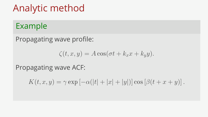#### Example

Propagating wave profile:

$$
\zeta(t, x, y) = A \cos(\sigma t + k_x x + k_y y).
$$

Propagating wave ACF:

 $K(t, x, y) = \gamma \exp[-\alpha(|t| + |x| + |y|)] \cos[\beta(t + x + y)].$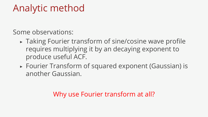Some observations:

- ▶ Taking Fourier transform of sine/cosine wave profile requires multiplying it by an decaying exponent to produce useful ACF.
- ▶ Fourier Transform of squared exponent (Gaussian) is another Gaussian.

#### Why use Fourier transform at all?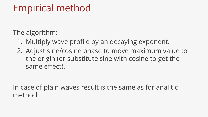### Empirical method

The algorithm:

- 1. Multiply wave profile by an decaying exponent.
- 2. Adjust sine/cosine phase to move maximum value to the origin (or substitute sine with cosine to get the same effect).

In case of plain waves result is the same as for analitic method.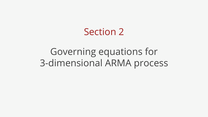# Section 2

Governing equations for 3-dimensional ARMA process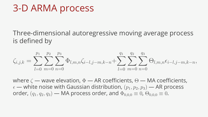### 3-D ARMA process

Three-dimensional autoregressive moving average process is defined by

$$
\zeta_{i,j,k} = \sum_{l=0}^{p_1} \sum_{m=0}^{p_2} \sum_{n=0}^{p_3} \Phi_{l,m,n} \zeta_{i-l,j-m,k-n} + \sum_{l=0}^{q_1} \sum_{m=0}^{q_2} \sum_{n=0}^{q_3} \Theta_{l,m,n} \epsilon_{i-l,j-m,k-n},
$$

where *ζ* — wave elevation, Φ — AR coefficients, Θ — MA coefficients,  $\epsilon$  — white noise with Gaussian distribution,  $(p_1, p_2, p_3)$  — AR process order,  $(q_1, q_2, q_3)$  — MA process order, and  $\Phi_{0,0,0} \equiv 0$ ,  $\Theta_{0,0,0} \equiv 0$ .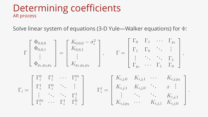#### Determining coefficients AR process

Solve linear system of equations (3-D Yule—Walker equations) for Φ:

$$
\Gamma\begin{bmatrix} \Phi_{0,0,0} \\ \Phi_{0,0,1} \\ \vdots \\ \Phi_{p_1,p_2,p_3} \end{bmatrix} = \begin{bmatrix} K_{0,0,0} - \sigma_{\epsilon}^2 \\ K_{0,0,1} \\ \vdots \\ K_{p_1,p_2,p_3} \end{bmatrix}, \qquad \Gamma = \begin{bmatrix} \Gamma_0 & \Gamma_1 & \cdots & \Gamma_{p_1} \\ \Gamma_1 & \Gamma_0 & \ddots & \vdots \\ \vdots & \ddots & \ddots & \Gamma_1 \\ \Gamma_{p_1} & \cdots & \Gamma_1 & \Gamma_0 \end{bmatrix},
$$
\n
$$
\Gamma_i = \begin{bmatrix} \Gamma_i^0 & \Gamma_i^1 & \cdots & \Gamma_i^{p_2} \\ \Gamma_i^1 & \Gamma_i^0 & \ddots & \vdots \\ \vdots & \ddots & \ddots & \Gamma_i^1 \\ \Gamma_i^{p_2} & \cdots & \Gamma_i^1 & \Gamma_i^0 \end{bmatrix} \qquad \Gamma_i^j = \begin{bmatrix} K_{i,j,0} & K_{i,j,1} & \cdots & K_{i,j,p_3} \\ K_{i,j,1} & K_{i,j,0} & \ddots & x & \vdots \\ \vdots & \ddots & \ddots & K_{i,j,1} \\ K_{i,j,p_3} & \cdots & K_{i,j,1} & K_{i,j,0} \end{bmatrix}
$$

*.*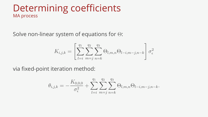#### Determining coefficients MA process

Solve non-linear system of equations for Θ:

$$
K_{i,j,k} = \left[ \sum_{l=i}^{q_1} \sum_{m=j}^{q_2} \sum_{n=k}^{q_3} \Theta_{l,m,n} \Theta_{l-i,m-j,n-k} \right] \sigma_{\epsilon}^2
$$

via fixed-point iteration method:

$$
\theta_{i,j,k} = -\frac{K_{0,0,0}}{\sigma_{\epsilon}^2} + \sum_{l=i}^{q_1} \sum_{m=j}^{q_2} \sum_{n=k}^{q_3} \Theta_{l,m,n} \Theta_{l-i,m-j,n-k}.
$$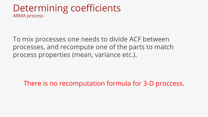#### Determining coefficients ARMA process

To mix processes one needs to divide ACF between processes, and recompute one of the parts to match process properties (mean, variance etc.).

There is no recomputation formula for 3-D proccess.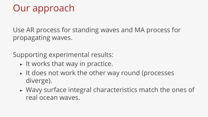### Our approach

Use AR process for standing waves and MA process for propagating waves.

Supporting experimental results:

- $\triangleright$  It works that way in practice.
- $\triangleright$  It does not work the other way round (processes diverge).
- ▶ Wavy surface integral characteristics match the ones of real ocean waves.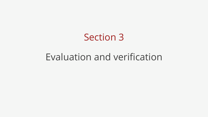# Section 3

Evaluation and verification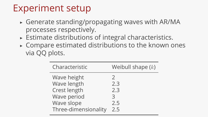### Experiment setup

- $\triangleright$  Generate standing/propagating waves with AR/MA processes respectively.
- ▶ Estimate distributions of integral characteristics.
- $\triangleright$  Compare estimated distributions to the known ones via QQ plots.

| Characteristic       | Weibull shape $(k)$ |
|----------------------|---------------------|
| Wave height          | $\mathcal{V}$       |
| Wave length          | 2.3                 |
| Crest length         | 2.3                 |
| Wave period          | 3                   |
| Wave slope           | 2.5                 |
| Three-dimensionality | フ5                  |